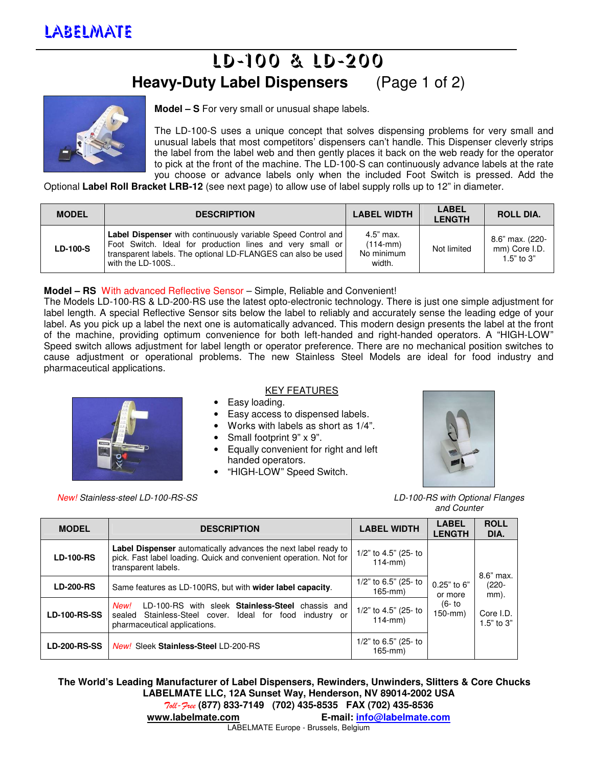## LD-100 & LD-200 **Heavy-Duty Label Dispensers** (Page 1 of 2)



**Model – S** For very small or unusual shape labels.

The LD-100-S uses a unique concept that solves dispensing problems for very small and unusual labels that most competitors' dispensers can't handle. This Dispenser cleverly strips the label from the label web and then gently places it back on the web ready for the operator to pick at the front of the machine. The LD-100-S can continuously advance labels at the rate you choose or advance labels only when the included Foot Switch is pressed. Add the

Optional **Label Roll Bracket LRB-12** (see next page) to allow use of label supply rolls up to 12" in diameter.

| <b>MODEL</b>    | <b>DESCRIPTION</b>                                                                                                                                                                                                   | <b>LABEL WIDTH</b>                                | <b>LABEL</b><br><b>LENGTH</b> | <b>ROLL DIA.</b>                                 |
|-----------------|----------------------------------------------------------------------------------------------------------------------------------------------------------------------------------------------------------------------|---------------------------------------------------|-------------------------------|--------------------------------------------------|
| <b>LD-100-S</b> | <b>Label Dispenser</b> with continuously variable Speed Control and<br>Foot Switch. Ideal for production lines and very small or<br>transparent labels. The optional LD-FLANGES can also be used<br>with the LD-100S | 4.5" max.<br>$(114 - mm)$<br>No minimum<br>width. | Not limited                   | 8.6" max. (220-<br>mm) Core I.D.<br>1.5" to $3"$ |

## **Model – RS** With advanced Reflective Sensor – Simple, Reliable and Convenient!

The Models LD-100-RS & LD-200-RS use the latest opto-electronic technology. There is just one simple adjustment for label length. A special Reflective Sensor sits below the label to reliably and accurately sense the leading edge of your label. As you pick up a label the next one is automatically advanced. This modern design presents the label at the front of the machine, providing optimum convenience for both left-handed and right-handed operators. A "HIGH-LOW" Speed switch allows adjustment for label length or operator preference. There are no mechanical position switches to cause adjustment or operational problems. The new Stainless Steel Models are ideal for food industry and pharmaceutical applications.



New! Stainless-steel LD-100-RS-SS LO-100-RS with Optional Flanges

## KEY FEATURES

- Easy loading.
- Easy access to dispensed labels.
- Works with labels as short as 1/4".
- Small footprint 9" x 9".
- Equally convenient for right and left handed operators.
- "HIGH-LOW" Speed Switch.



and Counter

| <b>MODEL</b>        | <b>DESCRIPTION</b>                                                                                                                                             | <b>LABEL WIDTH</b>                       | <b>LABEL</b><br><b>LENGTH</b> | <b>ROLL</b><br>DIA.                                            |
|---------------------|----------------------------------------------------------------------------------------------------------------------------------------------------------------|------------------------------------------|-------------------------------|----------------------------------------------------------------|
| <b>LD-100-RS</b>    | Label Dispenser automatically advances the next label ready to<br>pick. Fast label loading. Quick and convenient operation. Not for<br>transparent labels.     | 1/2" to 4.5" (25- to<br>$114$ -mm $)$    |                               | 8.6" max.<br>$(220 -$<br>mm).<br>Core I.D.<br>1.5 $"$ to 3 $"$ |
| <b>LD-200-RS</b>    | Same features as LD-100RS, but with <b>wider label capacity</b> .                                                                                              | 1/2" to 6.5" (25- to<br>$165$ -mm $)$    | 0.25" to 6"<br>or more        |                                                                |
| <b>LD-100-RS-SS</b> | LD-100-RS with sleek <b>Stainless-Steel</b> chassis and<br>New!<br>sealed Stainless-Steel cover. Ideal for food<br>industry or<br>pharmaceutical applications. | 1/2" to 4.5" (25- to<br>$114$ -mm $)$    | (6- to<br>150-mm)             |                                                                |
| <b>LD-200-RS-SS</b> | New! Sleek Stainless-Steel LD-200-RS                                                                                                                           | $1/2$ " to 6.5" (25- to<br>$165$ -mm $)$ |                               |                                                                |

**The World's Leading Manufacturer of Label Dispensers, Rewinders, Unwinders, Slitters & Core Chucks LABELMATE LLC, 12A Sunset Way, Henderson, NV 89014-2002 USA**  Toll-Free **(877) 833-7149 (702) 435-8535 FAX (702) 435-8536** 

**www.labelmate.com E-mail: info@labelmate.com**

LABELMATE Europe - Brussels, Belgium